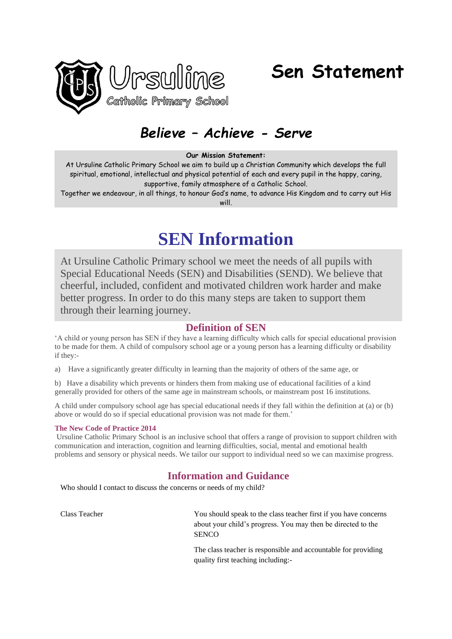

# **Sen Statement**

# *Believe – Achieve - Serve*

#### **Our Mission Statement:**

At Ursuline Catholic Primary School we aim to build up a Christian Community which develops the full spiritual, emotional, intellectual and physical potential of each and every pupil in the happy, caring, supportive, family atmosphere of a Catholic School.

Together we endeavour, in all things, to honour God's name, to advance His Kingdom and to carry out His will

# **SEN Information**

At Ursuline Catholic Primary school we meet the needs of all pupils with Special Educational Needs (SEN) and Disabilities (SEND). We believe that cheerful, included, confident and motivated children work harder and make better progress. In order to do this many steps are taken to support them through their learning journey.

# **Definition of SEN**

'A child or young person has SEN if they have a learning difficulty which calls for special educational provision to be made for them. A child of compulsory school age or a young person has a learning difficulty or disability if they:-

a) Have a significantly greater difficulty in learning than the majority of others of the same age, or

b) Have a disability which prevents or hinders them from making use of educational facilities of a kind generally provided for others of the same age in mainstream schools, or mainstream post 16 institutions.

A child under compulsory school age has special educational needs if they fall within the definition at (a) or (b) above or would do so if special educational provision was not made for them.'

## **The New Code of Practice 2014**

Ursuline Catholic Primary School is an inclusive school that offers a range of provision to support children with communication and interaction, cognition and learning difficulties, social, mental and emotional health problems and sensory or physical needs. We tailor our support to individual need so we can maximise progress.

# **Information and Guidance**

Who should I contact to discuss the concerns or needs of my child?

Class Teacher You should speak to the class teacher first if you have concerns about your child's progress. You may then be directed to the **SENCO** 

> The class teacher is responsible and accountable for providing quality first teaching including:-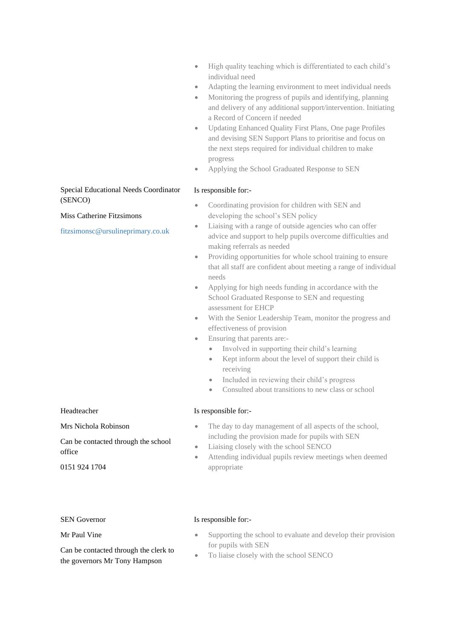- High quality teaching which is differentiated to each child's individual need
- Adapting the learning environment to meet individual needs
- Monitoring the progress of pupils and identifying, planning and delivery of any additional support/intervention. Initiating a Record of Concern if needed
- Updating Enhanced Quality First Plans, One page Profiles and devising SEN Support Plans to prioritise and focus on the next steps required for individual children to make progress
- Applying the School Graduated Response to SEN

# Is responsible for:-

- Coordinating provision for children with SEN and developing the school's SEN policy
- Liaising with a range of outside agencies who can offer advice and support to help pupils overcome difficulties and making referrals as needed
- Providing opportunities for whole school training to ensure that all staff are confident about meeting a range of individual needs
- Applying for high needs funding in accordance with the School Graduated Response to SEN and requesting assessment for EHCP
- With the Senior Leadership Team, monitor the progress and effectiveness of provision
- Ensuring that parents are:-
	- Involved in supporting their child's learning
	- Kept inform about the level of support their child is receiving
	- Included in reviewing their child's progress
	- Consulted about transitions to new class or school

# Is responsible for:-

- The day to day management of all aspects of the school, including the provision made for pupils with SEN
- Liaising closely with the school SENCO
- Attending individual pupils review meetings when deemed appropriate

# Special Educational Needs Coordinator (SENCO)

# Miss Catherine Fitzsimons

[fitzsimonsc@ursulineprimary.co.uk](https://mail.google.com/mail/?view=cm&fs=1&tf=1&to=fitzsimonsc@ursulineprimary.co.uk)

# Headteacher

Mrs Nichola Robinson

Can be contacted through the school office

0151 924 1704

# SEN Governor

Mr Paul Vine

Can be contacted through the clerk to the governors Mr Tony Hampson

# Is responsible for:-

- Supporting the school to evaluate and develop their provision for pupils with SEN
- To liaise closely with the school SENCO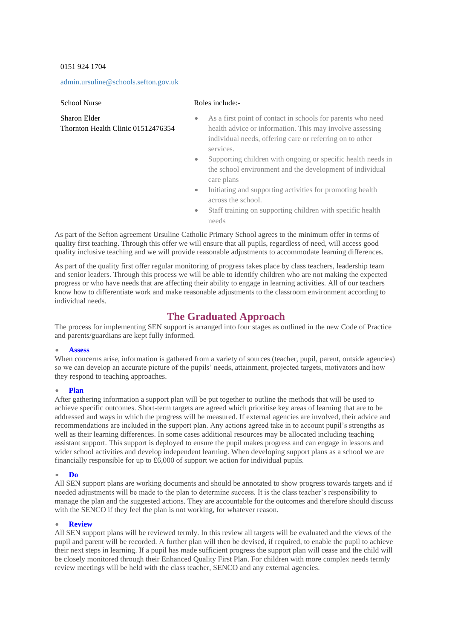## 0151 924 1704

#### [admin.ursuline@schools.sefton.gov.uk](https://mail.google.com/mail/?view=cm&fs=1&tf=1&to=admin.ursuline@schools.sefton.gov.uk)

School Nurse

#### Roles include:-

| Sharon Elder                       |  |
|------------------------------------|--|
| Thornton Health Clinic 01512476354 |  |

- As a first point of contact in schools for parents who need health advice or information. This may involve assessing individual needs, offering care or referring on to other services.
- Supporting children with ongoing or specific health needs in the school environment and the development of individual care plans
- Initiating and supporting activities for promoting health across the school.
- Staff training on supporting children with specific health needs

As part of the Sefton agreement Ursuline Catholic Primary School agrees to the minimum offer in terms of quality first teaching. Through this offer we will ensure that all pupils, regardless of need, will access good quality inclusive teaching and we will provide reasonable adjustments to accommodate learning differences.

As part of the quality first offer regular monitoring of progress takes place by class teachers, leadership team and senior leaders. Through this process we will be able to identify children who are not making the expected progress or who have needs that are affecting their ability to engage in learning activities. All of our teachers know how to differentiate work and make reasonable adjustments to the classroom environment according to individual needs.

# **The Graduated Approach**

The process for implementing SEN support is arranged into four stages as outlined in the new Code of Practice and parents/guardians are kept fully informed.

#### • **Assess**

When concerns arise, information is gathered from a variety of sources (teacher, pupil, parent, outside agencies) so we can develop an accurate picture of the pupils' needs, attainment, projected targets, motivators and how they respond to teaching approaches.

#### • **Plan**

After gathering information a support plan will be put together to outline the methods that will be used to achieve specific outcomes. Short-term targets are agreed which prioritise key areas of learning that are to be addressed and ways in which the progress will be measured. If external agencies are involved, their advice and recommendations are included in the support plan. Any actions agreed take in to account pupil's strengths as well as their learning differences. In some cases additional resources may be allocated including teaching assistant support. This support is deployed to ensure the pupil makes progress and can engage in lessons and wider school activities and develop independent learning. When developing support plans as a school we are financially responsible for up to £6,000 of support we action for individual pupils.

#### • **Do**

All SEN support plans are working documents and should be annotated to show progress towards targets and if needed adjustments will be made to the plan to determine success. It is the class teacher's responsibility to manage the plan and the suggested actions. They are accountable for the outcomes and therefore should discuss with the SENCO if they feel the plan is not working, for whatever reason.

#### • **Review**

All SEN support plans will be reviewed termly. In this review all targets will be evaluated and the views of the pupil and parent will be recorded. A further plan will then be devised, if required, to enable the pupil to achieve their next steps in learning. If a pupil has made sufficient progress the support plan will cease and the child will be closely monitored through their Enhanced Quality First Plan. For children with more complex needs termly review meetings will be held with the class teacher, SENCO and any external agencies.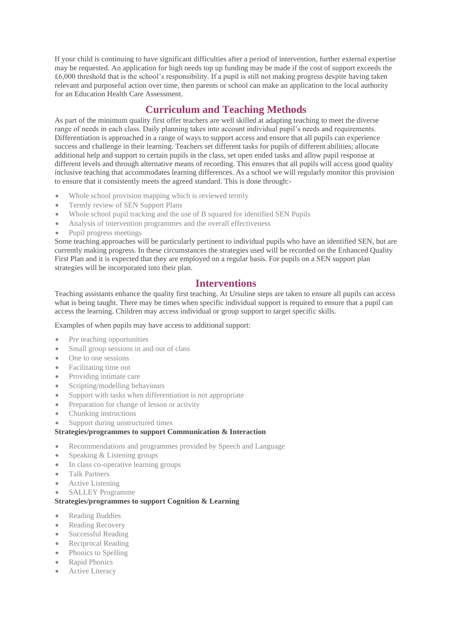If your child is continuing to have significant difficulties after a period of intervention, further external expertise may be requested. An application for high needs top up funding may be made if the cost of support exceeds the  $£6,000$  threshold that is the school's responsibility. If a pupil is still not making progress despite having taken relevant and purposeful action over time, then parents or school can make an application to the local authority for an Education Health Care Assessment.

# **Curriculum and Teaching Methods**

As part of the minimum quality first offer teachers are well skilled at adapting teaching to meet the diverse range of needs in each class. Daily planning takes into account individual pupil's needs and requirements. Differentiation is approached in a range of ways to support access and ensure that all pupils can experience success and challenge in their learning. Teachers set different tasks for pupils of different abilities; allocate additional help and support to certain pupils in the class, set open ended tasks and allow pupil response at different levels and through alternative means of recording. This ensures that all pupils will access good quality inclusive teaching that accommodates learning differences. As a school we will regularly monitor this provision to ensure that it consistently meets the agreed standard. This is done through:-

- Whole school provision mapping which is reviewed termly
- Termly review of SEN Support Plans
- Whole school pupil tracking and the use of B squared for identified SEN Pupils
- Analysis of intervention programmes and the overall effectiveness
- Pupil progress meetings

Some teaching approaches will be particularly pertinent to individual pupils who have an identified SEN, but are currently making progress. In these circumstances the strategies used will be recorded on the Enhanced Quality First Plan and it is expected that they are employed on a regular basis. For pupils on a SEN support plan strategies will be incorporated into their plan.

# **Interventions**

Teaching assistants enhance the quality first teaching. At Ursuline steps are taken to ensure all pupils can access what is being taught. There may be times when specific individual support is required to ensure that a pupil can access the learning. Children may access individual or group support to target specific skills.

Examples of when pupils may have access to additional support:

- Pre teaching opportunities
- Small group sessions in and out of class
- One to one sessions
- Facilitating time out
- Providing intimate care
- Scripting/modelling behaviours
- Support with tasks when differentiation is not appropriate
- Preparation for change of lesson or activity
- Chunking instructions
- Support during unstructured times

# **Strategies/programmes to support Communication & Interaction**

- Recommendations and programmes provided by Speech and Language
- Speaking & Listening groups
- In class co-operative learning groups
- Talk Partners
- Active Listening
- SALLEY Programme

# **Strategies/programmes to support Cognition & Learning**

- Reading Buddies
- Reading Recovery
- Successful Reading
- Reciprocal Reading
- Phonics to Spelling
- Rapid Phonics
- **Active Literacy**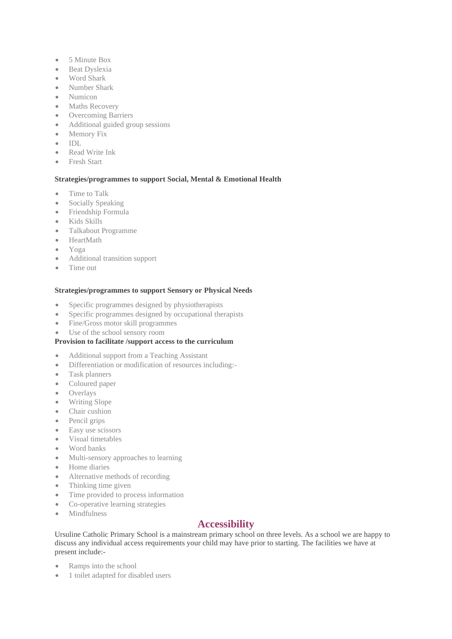- 5 Minute Box
- Beat Dyslexia
- Word Shark
- Number Shark
- Numicon
- Maths Recovery
- Overcoming Barriers
- Additional guided group sessions
- Memory Fix
- IDL
- Read Write Ink
- Fresh Start

# **Strategies/programmes to support Social, Mental & Emotional Health**

- Time to Talk
- Socially Speaking
- Friendship Formula
- Kids Skills
- Talkabout Programme
- HeartMath
- Yoga
- Additional transition support
- Time out

## **Strategies/programmes to support Sensory or Physical Needs**

- Specific programmes designed by physiotherapists
- Specific programmes designed by occupational therapists
- Fine/Gross motor skill programmes
- Use of the school sensory room

## **Provision to facilitate /support access to the curriculum**

- Additional support from a Teaching Assistant
- Differentiation or modification of resources including:-
- Task planners
- Coloured paper
- Overlays
- Writing Slope
- Chair cushion
- Pencil grips
- Easy use scissors
- Visual timetables
- Word banks
- Multi-sensory approaches to learning
- Home diaries
- Alternative methods of recording
- Thinking time given
- Time provided to process information
- Co-operative learning strategies
- Mindfulness

# **Accessibility**

Ursuline Catholic Primary School is a mainstream primary school on three levels. As a school we are happy to discuss any individual access requirements your child may have prior to starting. The facilities we have at present include:-

- Ramps into the school
- 1 toilet adapted for disabled users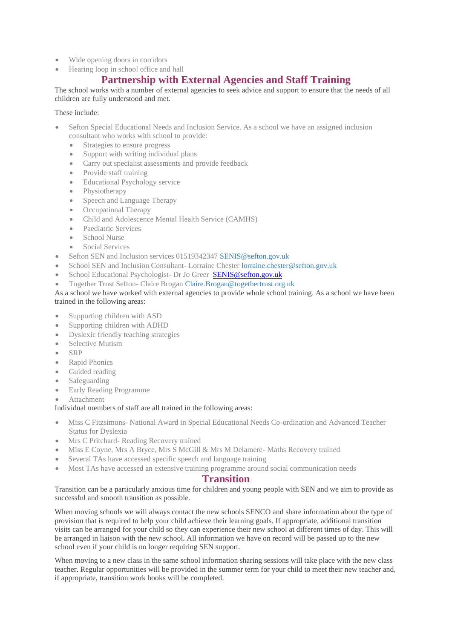- Wide opening doors in corridors
- Hearing loop in school office and hall

# **Partnership with External Agencies and Staff Training**

The school works with a number of external agencies to seek advice and support to ensure that the needs of all children are fully understood and met.

## These include:

- Sefton Special Educational Needs and Inclusion Service. As a school we have an assigned inclusion consultant who works with school to provide:
	- Strategies to ensure progress
	- Support with writing individual plans
	- Carry out specialist assessments and provide feedback
	- Provide staff training
	- Educational Psychology service
	- Physiotherapy
	- Speech and Language Therapy
	- Occupational Therapy
	- Child and Adolescence Mental Health Service (CAMHS)
	- Paediatric Services
	- School Nurse
	- Social Services
- Sefton SEN and Inclusion services 01519342347 [SENIS@sefton.gov.uk](https://mail.google.com/mail/?view=cm&fs=1&tf=1&to=SENIS@sefton.gov.uk)
- School SEN and Inclusion Consultant- Lorraine Chester [lorraine.chester@sefton.gov.uk](https://mail.google.com/mail/?view=cm&fs=1&tf=1&to=lorraine.chester@sefton.gov.uk)
- School Educational Psychologist- Dr Jo Greer **[SENIS@sefton.gov.uk](mailto:SENIS@sefton.gov.uk)**
- Together Trust Sefton- Claire Brogan [Claire.Brogan@togethertrust.org.uk](https://mail.google.com/mail/?view=cm&fs=1&tf=1&to=Claire.Brogan@togethertrust.org.uk)

## As a school we have worked with external agencies to provide whole school training. As a school we have been trained in the following areas:

- Supporting children with ASD
- Supporting children with ADHD
- Dyslexic friendly teaching strategies
- Selective Mutism
- SRP
- Rapid Phonics
- Guided reading
- Safeguarding
- Early Reading Programme
- **Attachment**

## Individual members of staff are all trained in the following areas:

- Miss C Fitzsimons- National Award in Special Educational Needs Co-ordination and Advanced Teacher Status for Dyslexia
- Mrs C Pritchard- Reading Recovery trained
- Miss E Coyne, Mrs A Bryce, Mrs S McGill & Mrs M Delamere- Maths Recovery trained
- Several TAs have accessed specific speech and language training
- Most TAs have accessed an extensive training programme around social communication needs

# **Transition**

Transition can be a particularly anxious time for children and young people with SEN and we aim to provide as successful and smooth transition as possible.

When moving schools we will always contact the new schools SENCO and share information about the type of provision that is required to help your child achieve their learning goals. If appropriate, additional transition visits can be arranged for your child so they can experience their new school at different times of day. This will be arranged in liaison with the new school. All information we have on record will be passed up to the new school even if your child is no longer requiring SEN support.

When moving to a new class in the same school information sharing sessions will take place with the new class teacher. Regular opportunities will be provided in the summer term for your child to meet their new teacher and, if appropriate, transition work books will be completed.